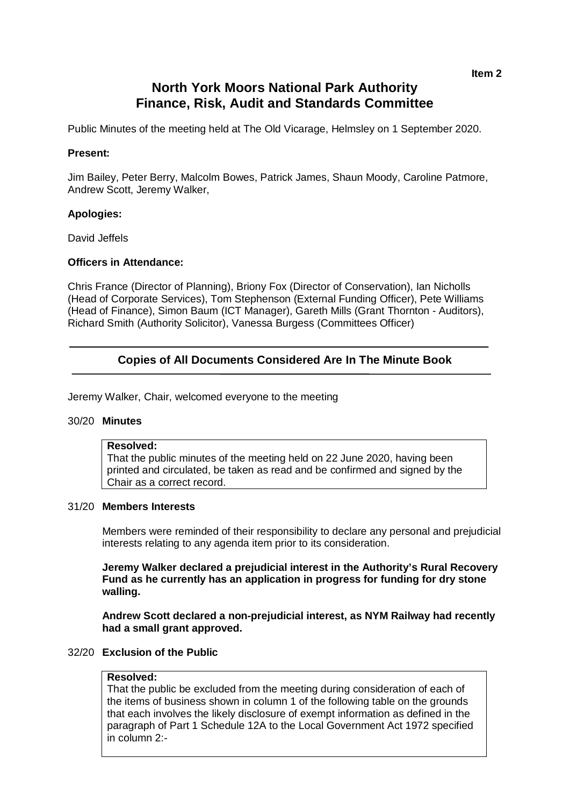# **North York Moors National Park Authority Finance, Risk, Audit and Standards Committee**

Public Minutes of the meeting held at The Old Vicarage, Helmsley on 1 September 2020.

# **Present:**

Jim Bailey, Peter Berry, Malcolm Bowes, Patrick James, Shaun Moody, Caroline Patmore, Andrew Scott, Jeremy Walker,

# **Apologies:**

David Jeffels

# **Officers in Attendance:**

Chris France (Director of Planning), Briony Fox (Director of Conservation), Ian Nicholls (Head of Corporate Services), Tom Stephenson (External Funding Officer), Pete Williams (Head of Finance), Simon Baum (ICT Manager), Gareth Mills (Grant Thornton - Auditors), Richard Smith (Authority Solicitor), Vanessa Burgess (Committees Officer)

# **Copies of All Documents Considered Are In The Minute Book**

Jeremy Walker, Chair, welcomed everyone to the meeting

#### 30/20 **Minutes**

# **Resolved:**

That the public minutes of the meeting held on 22 June 2020, having been printed and circulated, be taken as read and be confirmed and signed by the Chair as a correct record.

#### 31/20 **Members Interests**

Members were reminded of their responsibility to declare any personal and prejudicial interests relating to any agenda item prior to its consideration.

**Jeremy Walker declared a prejudicial interest in the Authority's Rural Recovery Fund as he currently has an application in progress for funding for dry stone walling.**

**Andrew Scott declared a non-prejudicial interest, as NYM Railway had recently had a small grant approved.**

#### 32/20 **Exclusion of the Public**

# **Resolved:**

That the public be excluded from the meeting during consideration of each of the items of business shown in column 1 of the following table on the grounds that each involves the likely disclosure of exempt information as defined in the paragraph of Part 1 Schedule 12A to the Local Government Act 1972 specified in column 2:-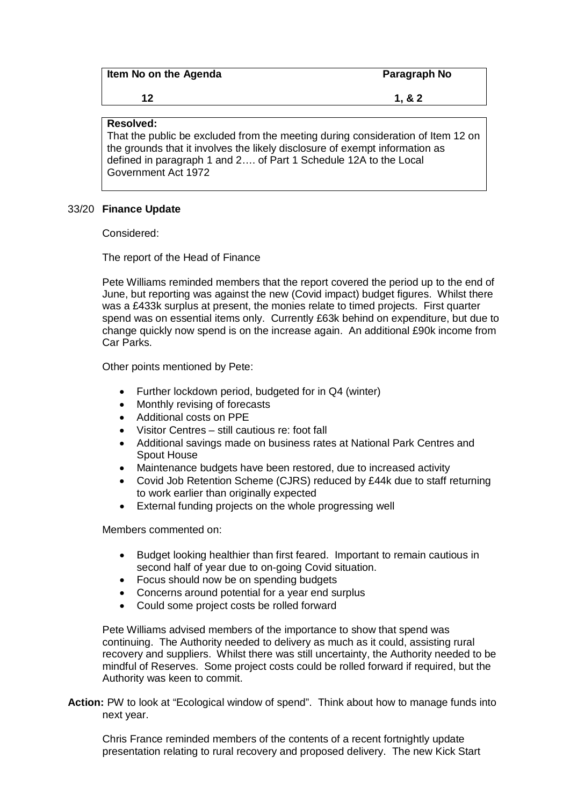| Item No on the Agenda | Paragraph No |
|-----------------------|--------------|
| 12                    | 1, 8, 2      |

# **Resolved:**

That the public be excluded from the meeting during consideration of Item 12 on the grounds that it involves the likely disclosure of exempt information as defined in paragraph 1 and 2…. of Part 1 Schedule 12A to the Local Government Act 1972

# 33/20 **Finance Update**

Considered:

The report of the Head of Finance

Pete Williams reminded members that the report covered the period up to the end of June, but reporting was against the new (Covid impact) budget figures. Whilst there was a £433k surplus at present, the monies relate to timed projects. First quarter spend was on essential items only. Currently £63k behind on expenditure, but due to change quickly now spend is on the increase again. An additional £90k income from Car Parks.

Other points mentioned by Pete:

- Further lockdown period, budgeted for in Q4 (winter)
- Monthly revising of forecasts
- Additional costs on PPE
- Visitor Centres still cautious re: foot fall
- Additional savings made on business rates at National Park Centres and Spout House
- Maintenance budgets have been restored, due to increased activity
- Covid Job Retention Scheme (CJRS) reduced by £44k due to staff returning to work earlier than originally expected
- External funding projects on the whole progressing well

Members commented on:

- Budget looking healthier than first feared. Important to remain cautious in second half of year due to on-going Covid situation.
- Focus should now be on spending budgets
- Concerns around potential for a year end surplus
- Could some project costs be rolled forward

Pete Williams advised members of the importance to show that spend was continuing. The Authority needed to delivery as much as it could, assisting rural recovery and suppliers. Whilst there was still uncertainty, the Authority needed to be mindful of Reserves. Some project costs could be rolled forward if required, but the Authority was keen to commit.

**Action:** PW to look at "Ecological window of spend". Think about how to manage funds into next year.

Chris France reminded members of the contents of a recent fortnightly update presentation relating to rural recovery and proposed delivery. The new Kick Start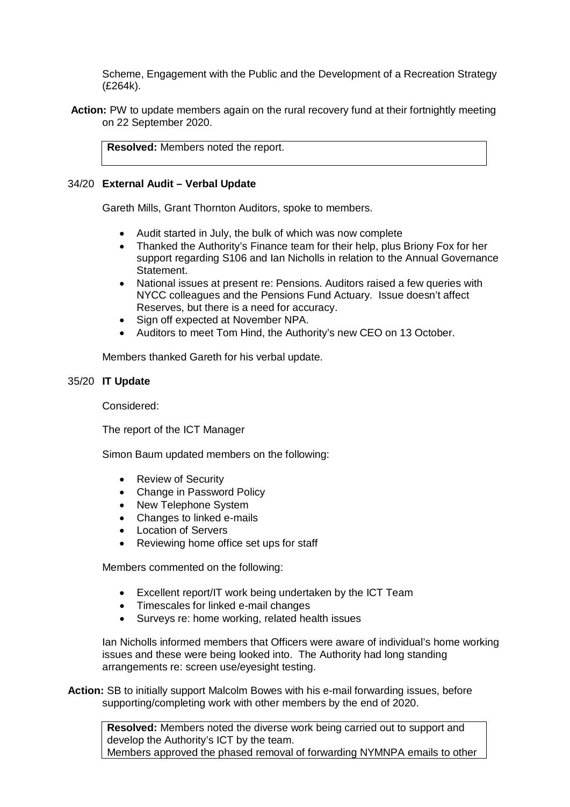Scheme, Engagement with the Public and the Development of a Recreation Strategy (£264k).

**Action:** PW to update members again on the rural recovery fund at their fortnightly meeting on 22 September 2020.

**Resolved:** Members noted the report.

# 34/20 **External Audit – Verbal Update**

Gareth Mills, Grant Thornton Auditors, spoke to members.

- Audit started in July, the bulk of which was now complete
- Thanked the Authority's Finance team for their help, plus Briony Fox for her support regarding S106 and Ian Nicholls in relation to the Annual Governance Statement.
- National issues at present re: Pensions. Auditors raised a few queries with NYCC colleagues and the Pensions Fund Actuary. Issue doesn't affect Reserves, but there is a need for accuracy.
- Sign off expected at November NPA.
- Auditors to meet Tom Hind, the Authority's new CEO on 13 October.

Members thanked Gareth for his verbal update.

# 35/20 **IT Update**

Considered:

The report of the ICT Manager

Simon Baum updated members on the following:

- Review of Security
- Change in Password Policy
- New Telephone System
- Changes to linked e-mails
- Location of Servers
- Reviewing home office set ups for staff

Members commented on the following:

- Excellent report/IT work being undertaken by the ICT Team
- Timescales for linked e-mail changes
- Surveys re: home working, related health issues

Ian Nicholls informed members that Officers were aware of individual's home working issues and these were being looked into. The Authority had long standing arrangements re: screen use/eyesight testing.

**Action:** SB to initially support Malcolm Bowes with his e-mail forwarding issues, before supporting/completing work with other members by the end of 2020.

**Resolved:** Members noted the diverse work being carried out to support and develop the Authority's ICT by the team. Members approved the phased removal of forwarding NYMNPA emails to other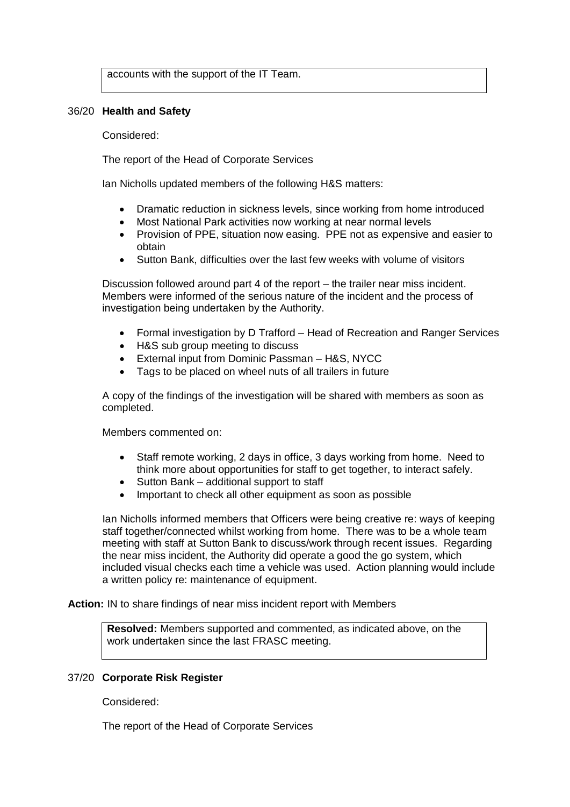accounts with the support of the IT Team.

#### 36/20 **Health and Safety**

#### Considered:

The report of the Head of Corporate Services

Ian Nicholls updated members of the following H&S matters:

- Dramatic reduction in sickness levels, since working from home introduced
- Most National Park activities now working at near normal levels
- Provision of PPE, situation now easing. PPE not as expensive and easier to obtain
- Sutton Bank, difficulties over the last few weeks with volume of visitors

Discussion followed around part 4 of the report – the trailer near miss incident. Members were informed of the serious nature of the incident and the process of investigation being undertaken by the Authority.

- Formal investigation by D Trafford Head of Recreation and Ranger Services
- H&S sub group meeting to discuss
- External input from Dominic Passman H&S, NYCC
- Tags to be placed on wheel nuts of all trailers in future

A copy of the findings of the investigation will be shared with members as soon as completed.

Members commented on:

- Staff remote working, 2 days in office, 3 days working from home. Need to think more about opportunities for staff to get together, to interact safely.
- Sutton Bank additional support to staff
- Important to check all other equipment as soon as possible

Ian Nicholls informed members that Officers were being creative re: ways of keeping staff together/connected whilst working from home. There was to be a whole team meeting with staff at Sutton Bank to discuss/work through recent issues. Regarding the near miss incident, the Authority did operate a good the go system, which included visual checks each time a vehicle was used. Action planning would include a written policy re: maintenance of equipment.

**Action:** IN to share findings of near miss incident report with Members

**Resolved:** Members supported and commented, as indicated above, on the work undertaken since the last FRASC meeting.

#### 37/20 **Corporate Risk Register**

Considered:

The report of the Head of Corporate Services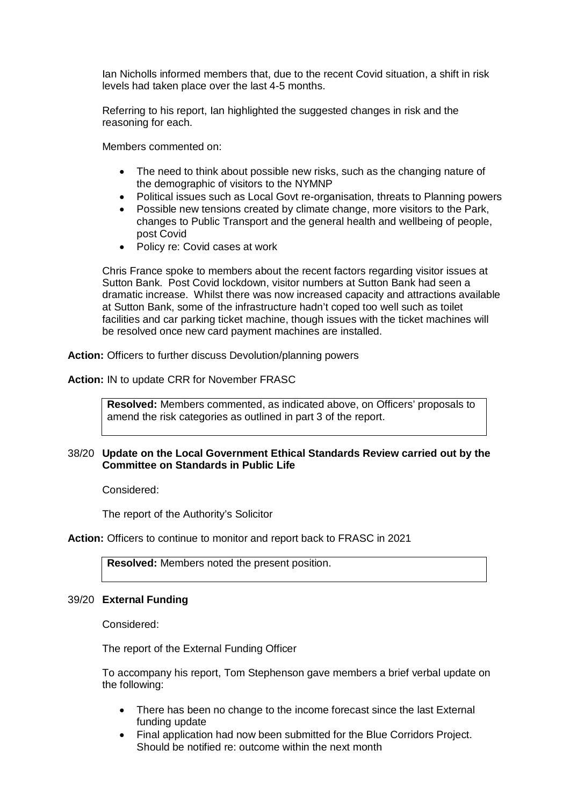Ian Nicholls informed members that, due to the recent Covid situation, a shift in risk levels had taken place over the last 4-5 months.

Referring to his report, Ian highlighted the suggested changes in risk and the reasoning for each.

Members commented on:

- The need to think about possible new risks, such as the changing nature of the demographic of visitors to the NYMNP
- Political issues such as Local Govt re-organisation, threats to Planning powers
- Possible new tensions created by climate change, more visitors to the Park, changes to Public Transport and the general health and wellbeing of people, post Covid
- Policy re: Covid cases at work

Chris France spoke to members about the recent factors regarding visitor issues at Sutton Bank. Post Covid lockdown, visitor numbers at Sutton Bank had seen a dramatic increase. Whilst there was now increased capacity and attractions available at Sutton Bank, some of the infrastructure hadn't coped too well such as toilet facilities and car parking ticket machine, though issues with the ticket machines will be resolved once new card payment machines are installed.

**Action:** Officers to further discuss Devolution/planning powers

**Action:** IN to update CRR for November FRASC

**Resolved:** Members commented, as indicated above, on Officers' proposals to amend the risk categories as outlined in part 3 of the report.

# 38/20 **Update on the Local Government Ethical Standards Review carried out by the Committee on Standards in Public Life**

Considered:

The report of the Authority's Solicitor

**Action:** Officers to continue to monitor and report back to FRASC in 2021

**Resolved:** Members noted the present position.

#### 39/20 **External Funding**

Considered:

The report of the External Funding Officer

To accompany his report, Tom Stephenson gave members a brief verbal update on the following:

- There has been no change to the income forecast since the last External funding update
- Final application had now been submitted for the Blue Corridors Project. Should be notified re: outcome within the next month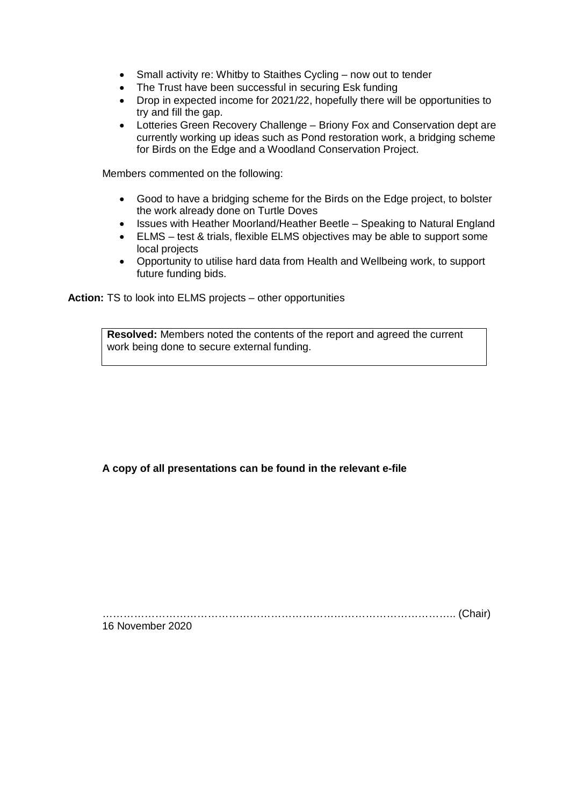- Small activity re: Whitby to Staithes Cycling now out to tender
- The Trust have been successful in securing Esk funding
- Drop in expected income for 2021/22, hopefully there will be opportunities to try and fill the gap.
- Lotteries Green Recovery Challenge Briony Fox and Conservation dept are currently working up ideas such as Pond restoration work, a bridging scheme for Birds on the Edge and a Woodland Conservation Project.

Members commented on the following:

- Good to have a bridging scheme for the Birds on the Edge project, to bolster the work already done on Turtle Doves
- Issues with Heather Moorland/Heather Beetle Speaking to Natural England
- ELMS test & trials, flexible ELMS objectives may be able to support some local projects
- Opportunity to utilise hard data from Health and Wellbeing work, to support future funding bids.

**Action:** TS to look into ELMS projects – other opportunities

**Resolved:** Members noted the contents of the report and agreed the current work being done to secure external funding.

**A copy of all presentations can be found in the relevant e-file**

……………………………………………………………………………………….. (Chair)

16 November 2020